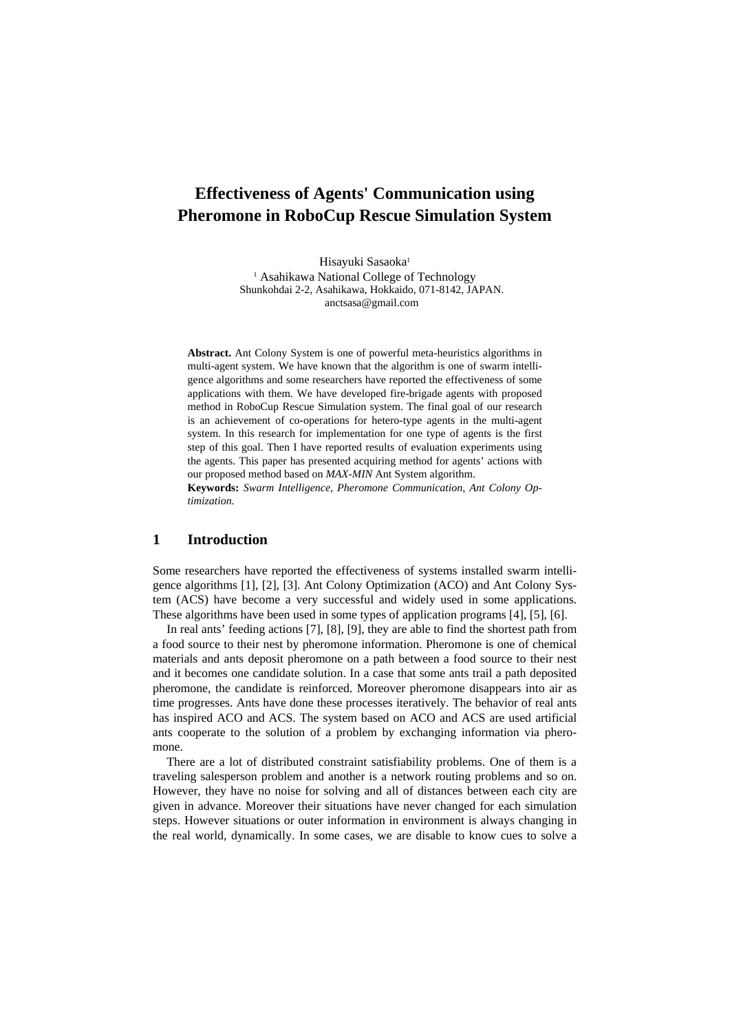# **Effectiveness of Agents' Communication using Pheromone in RoboCup Rescue Simulation System**

Hisayuki Sasaoka<sup>1</sup>

<sup>1</sup> Asahikawa National College of Technology Shunkohdai 2-2, Asahikawa, Hokkaido, 071-8142, JAPAN. anctsasa@gmail.com

**Abstract.** Ant Colony System is one of powerful meta-heuristics algorithms in multi-agent system. We have known that the algorithm is one of swarm intelligence algorithms and some researchers have reported the effectiveness of some applications with them. We have developed fire-brigade agents with proposed method in RoboCup Rescue Simulation system. The final goal of our research is an achievement of co-operations for hetero-type agents in the multi-agent system. In this research for implementation for one type of agents is the first step of this goal. Then I have reported results of evaluation experiments using the agents. This paper has presented acquiring method for agents' actions with our proposed method based on *MAX-MIN* Ant System algorithm.

**Keywords:** *Swarm Intelligence, Pheromone Communication, Ant Colony Optimization.*

### **1 Introduction**

Some researchers have reported the effectiveness of systems installed swarm intelligence algorithms [1], [2], [3]. Ant Colony Optimization (ACO) and Ant Colony System (ACS) have become a very successful and widely used in some applications. These algorithms have been used in some types of application programs [4], [5], [6].

In real ants' feeding actions [7], [8], [9], they are able to find the shortest path from a food source to their nest by pheromone information. Pheromone is one of chemical materials and ants deposit pheromone on a path between a food source to their nest and it becomes one candidate solution. In a case that some ants trail a path deposited pheromone, the candidate is reinforced. Moreover pheromone disappears into air as time progresses. Ants have done these processes iteratively. The behavior of real ants has inspired ACO and ACS. The system based on ACO and ACS are used artificial ants cooperate to the solution of a problem by exchanging information via pheromone.

There are a lot of distributed constraint satisfiability problems. One of them is a traveling salesperson problem and another is a network routing problems and so on. However, they have no noise for solving and all of distances between each city are given in advance. Moreover their situations have never changed for each simulation steps. However situations or outer information in environment is always changing in the real world, dynamically. In some cases, we are disable to know cues to solve a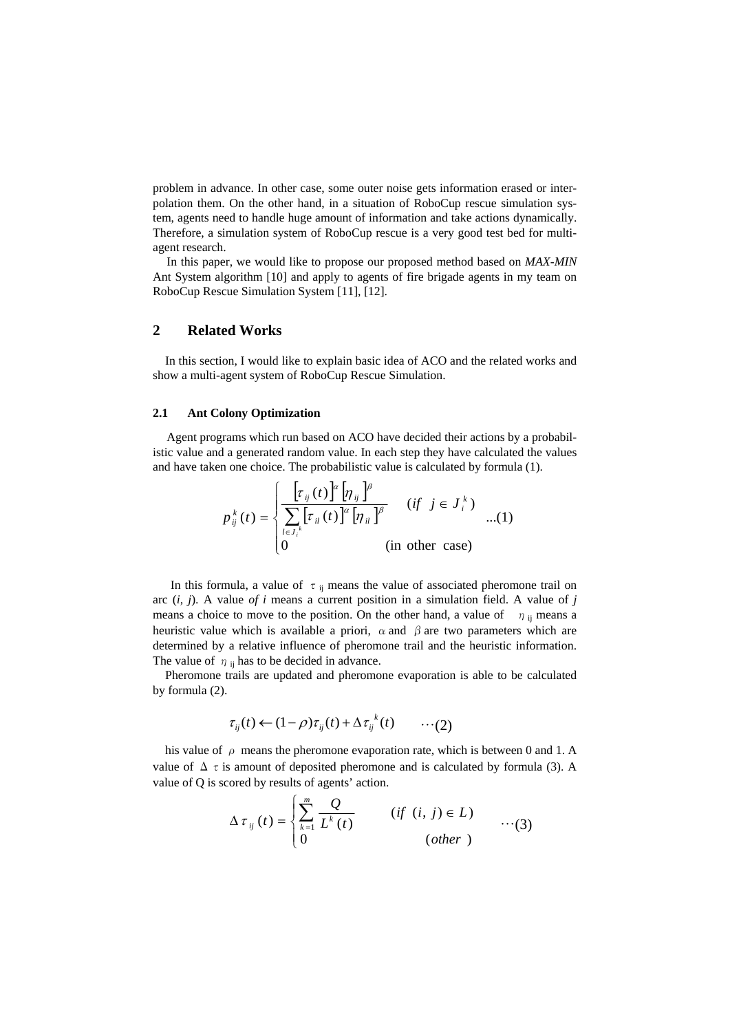problem in advance. In other case, some outer noise gets information erased or interpolation them. On the other hand, in a situation of RoboCup rescue simulation system, agents need to handle huge amount of information and take actions dynamically. Therefore, a simulation system of RoboCup rescue is a very good test bed for multiagent research.

In this paper, we would like to propose our proposed method based on *MAX-MIN* Ant System algorithm [10] and apply to agents of fire brigade agents in my team on RoboCup Rescue Simulation System [11], [12].

# **2 Related Works**

In this section, I would like to explain basic idea of ACO and the related works and show a multi-agent system of RoboCup Rescue Simulation.

### **2.1 Ant Colony Optimization**

Agent programs which run based on ACO have decided their actions by a probabilistic value and a generated random value. In each step they have calculated the values and have taken one choice. The probabilistic value is calculated by formula (1).

$$
p_{ij}^{k}(t) = \begin{cases} \frac{\left[\tau_{ij}(t)\right]^{\alpha} \left[\eta_{ij}\right]^{\beta}}{\sum\limits_{l \in J_{i}^{k}} \left[\tau_{il}(t)\right]^{\alpha} \left[\eta_{il}\right]^{\beta}} & (if \ j \in J_{i}^{k}) \\ 0 & (in \ \text{other case}) \end{cases} \dots (1)
$$

In this formula, a value of  $\tau$ <sub>ij</sub> means the value of associated pheromone trail on arc (*i, j*). A value *of i* means a current position in a simulation field. A value of *j* means a choice to move to the position. On the other hand, a value of  $\eta$  is means a heuristic value which is available a priori,  $\alpha$  and  $\beta$  are two parameters which are determined by a relative influence of pheromone trail and the heuristic information. The value of  $\eta$  is has to be decided in advance.

Pheromone trails are updated and pheromone evaporation is able to be calculated by formula (2).

$$
\tau_{ij}(t) \leftarrow (1-\rho)\tau_{ij}(t) + \Delta \tau_{ij}^{k}(t) \qquad \cdots (2)
$$

his value of  $\rho$  means the pheromone evaporation rate, which is between 0 and 1. A value of  $\Delta \tau$  is amount of deposited pheromone and is calculated by formula (3). A value of Q is scored by results of agents' action.

$$
\Delta \tau_{ij}(t) = \begin{cases} \sum_{k=1}^{m} \frac{Q}{L^k(t)} & (if (i, j) \in L) \\ 0 & (other) \end{cases} \qquad \qquad \cdots (3)
$$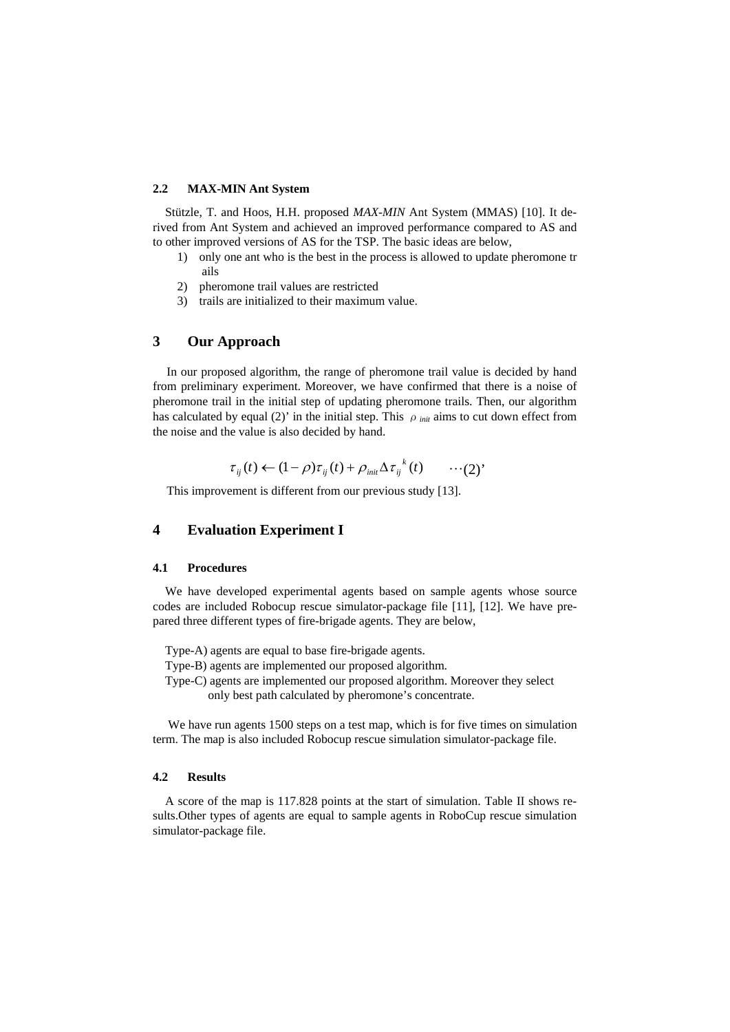#### **2.2 MAX-MIN Ant System**

Stützle, T. and Hoos, H.H. proposed *MAX-MIN* Ant System (MMAS) [10]. It derived from Ant System and achieved an improved performance compared to AS and to other improved versions of AS for the TSP. The basic ideas are below,

- 1) only one ant who is the best in the process is allowed to update pheromone tr ails
- 2) pheromone trail values are restricted
- 3) trails are initialized to their maximum value.

# **3 Our Approach**

In our proposed algorithm, the range of pheromone trail value is decided by hand from preliminary experiment. Moreover, we have confirmed that there is a noise of pheromone trail in the initial step of updating pheromone trails. Then, our algorithm has calculated by equal (2)' in the initial step. This  $\rho_{init}$  aims to cut down effect from the noise and the value is also decided by hand.

$$
\tau_{ij}(t) \leftarrow (1 - \rho)\tau_{ij}(t) + \rho_{\text{init}} \Delta \tau_{ij}^{k}(t) \qquad \cdots (2)^{n}
$$

This improvement is different from our previous study [13].

## **4 Evaluation Experiment I**

#### **4.1 Procedures**

We have developed experimental agents based on sample agents whose source codes are included Robocup rescue simulator-package file [11], [12]. We have prepared three different types of fire-brigade agents. They are below,

- Type-A) agents are equal to base fire-brigade agents.
- Type-B) agents are implemented our proposed algorithm.
- Type-C) agents are implemented our proposed algorithm. Moreover they select
	- only best path calculated by pheromone's concentrate.

 We have run agents 1500 steps on a test map, which is for five times on simulation term. The map is also included Robocup rescue simulation simulator-package file.

#### **4.2 Results**

A score of the map is 117.828 points at the start of simulation. Table II shows results.Other types of agents are equal to sample agents in RoboCup rescue simulation simulator-package file.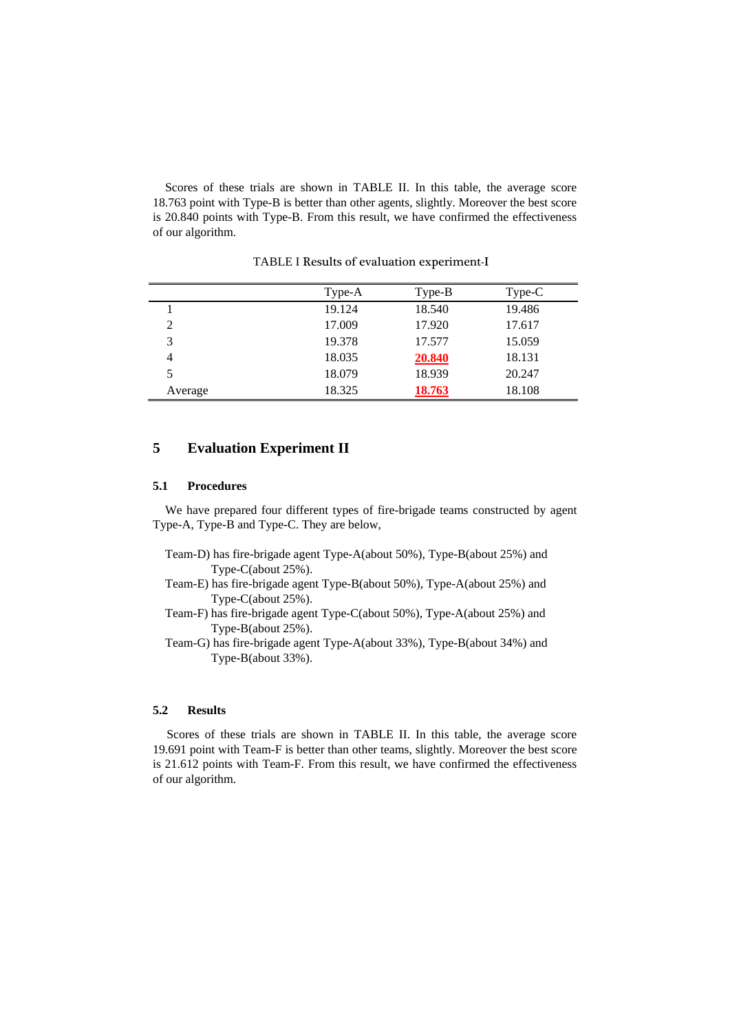Scores of these trials are shown in TABLE II. In this table, the average score 18.763 point with Type-B is better than other agents, slightly. Moreover the best score is 20.840 points with Type-B. From this result, we have confirmed the effectiveness of our algorithm.

|         | $Type-A$ | $Type-B$ | $Type-C$ |
|---------|----------|----------|----------|
|         | 19.124   | 18.540   | 19.486   |
| 2       | 17.009   | 17.920   | 17.617   |
| 3       | 19.378   | 17.577   | 15.059   |
| 4       | 18.035   | 20.840   | 18.131   |
| 5       | 18.079   | 18.939   | 20.247   |
| Average | 18.325   | 18.763   | 18.108   |

TABLE I Results of evaluation experiment-I

# **5 Evaluation Experiment II**

### **5.1 Procedures**

We have prepared four different types of fire-brigade teams constructed by agent Type-A, Type-B and Type-C. They are below,

- Team-D) has fire-brigade agent Type-A(about 50%), Type-B(about 25%) and Type-C(about 25%).
- Team-E) has fire-brigade agent Type-B(about 50%), Type-A(about 25%) and Type-C(about 25%).
- Team-F) has fire-brigade agent Type-C(about 50%), Type-A(about 25%) and Type-B(about 25%).

Team-G) has fire-brigade agent Type-A(about 33%), Type-B(about 34%) and Type-B(about 33%).

### **5.2 Results**

Scores of these trials are shown in TABLE II. In this table, the average score 19.691 point with Team-F is better than other teams, slightly. Moreover the best score is 21.612 points with Team-F. From this result, we have confirmed the effectiveness of our algorithm.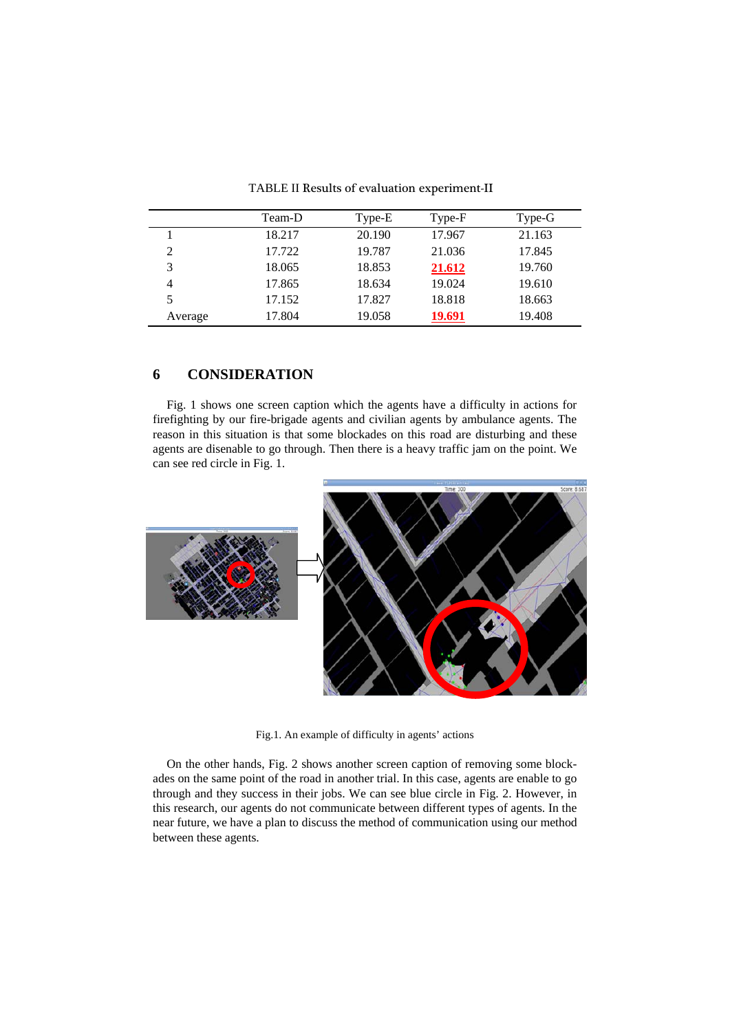|         | Team-D | Type-E | Type-F | Type-G |
|---------|--------|--------|--------|--------|
|         | 18.217 | 20.190 | 17.967 | 21.163 |
| 2       | 17.722 | 19.787 | 21.036 | 17.845 |
| 3       | 18.065 | 18.853 | 21.612 | 19.760 |
| 4       | 17.865 | 18.634 | 19.024 | 19.610 |
| 5       | 17.152 | 17.827 | 18.818 | 18.663 |
| Average | 17.804 | 19.058 | 19.691 | 19.408 |

TABLE II Results of evaluation experiment-II

# **6 CONSIDERATION**

Fig. 1 shows one screen caption which the agents have a difficulty in actions for firefighting by our fire-brigade agents and civilian agents by ambulance agents. The reason in this situation is that some blockades on this road are disturbing and these agents are disenable to go through. Then there is a heavy traffic jam on the point. We can see red circle in Fig. 1.



Fig.1. An example of difficulty in agents' actions

On the other hands, Fig. 2 shows another screen caption of removing some blockades on the same point of the road in another trial. In this case, agents are enable to go through and they success in their jobs. We can see blue circle in Fig. 2. However, in this research, our agents do not communicate between different types of agents. In the near future, we have a plan to discuss the method of communication using our method between these agents.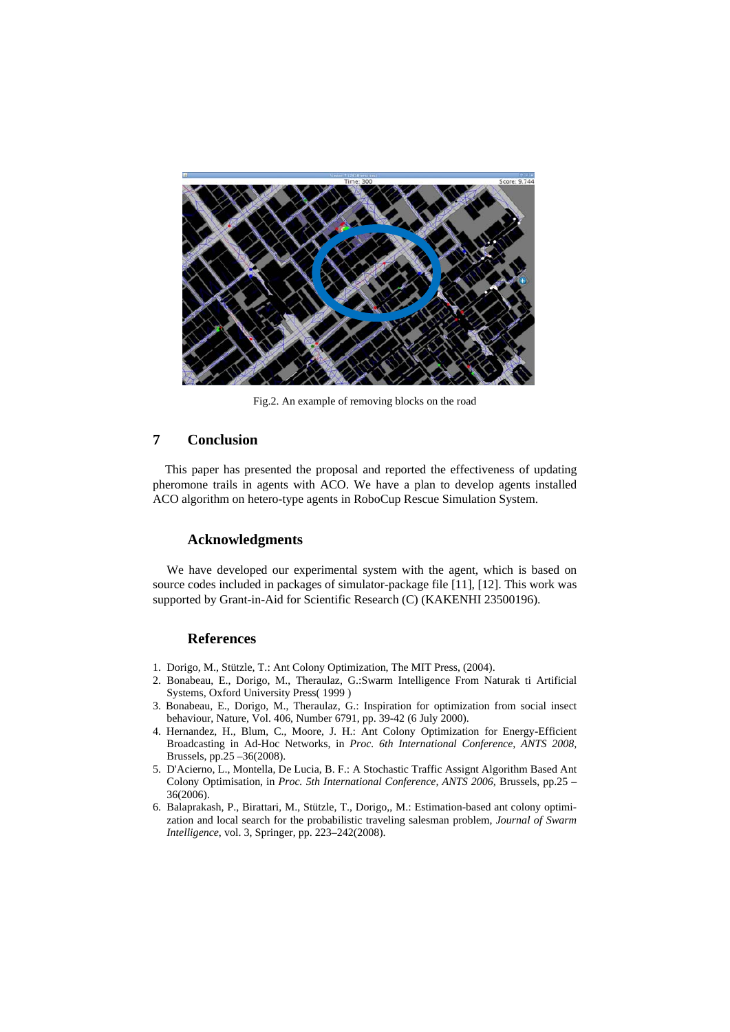

Fig.2. An example of removing blocks on the road

# **7 Conclusion**

This paper has presented the proposal and reported the effectiveness of updating pheromone trails in agents with ACO. We have a plan to develop agents installed ACO algorithm on hetero-type agents in RoboCup Rescue Simulation System.

#### **Acknowledgments**

We have developed our experimental system with the agent, which is based on source codes included in packages of simulator-package file [11], [12]. This work was supported by Grant-in-Aid for Scientific Research (C) (KAKENHI 23500196).

## **References**

- 1. Dorigo, M., Stützle, T.: Ant Colony Optimization, The MIT Press, (2004).
- 2. Bonabeau, E., Dorigo, M., Theraulaz, G.:Swarm Intelligence From Naturak ti Artificial Systems, Oxford University Press( 1999 )
- 3. Bonabeau, E., Dorigo, M., Theraulaz, G.: Inspiration for optimization from social insect behaviour, Nature, Vol. 406, Number 6791, pp. 39-42 (6 July 2000).
- 4. Hernandez, H., Blum, C., Moore, J. H.: Ant Colony Optimization for Energy-Efficient Broadcasting in Ad-Hoc Networks, in *Proc. 6th International Conference, ANTS 2008,* Brussels, pp.25 –36(2008).
- 5. D'Acierno, L., Montella, De Lucia, B. F.: A Stochastic Traffic Assignt Algorithm Based Ant Colony Optimisation, in *Proc. 5th International Conference, ANTS 2006,* Brussels, pp.25 – 36(2006).
- 6. Balaprakash, P., Birattari, M., Stützle, T., Dorigo,, M.: Estimation-based ant colony optimization and local search for the probabilistic traveling salesman problem, *Journal of Swarm Intelligence*, vol. 3, Springer, pp. 223–242(2008).